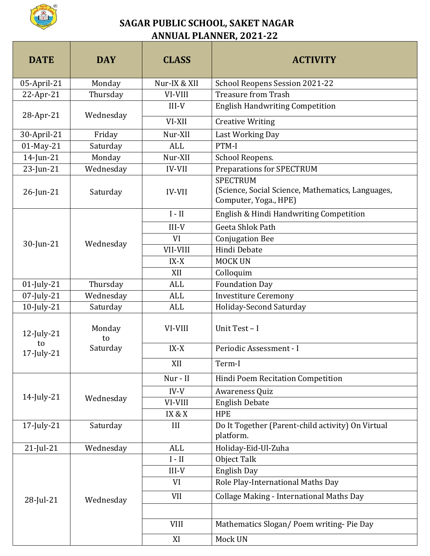

## **SAGAR PUBLIC SCHOOL, SAKET NAGAR ANNUAL PLANNER, 2021-22**

| <b>DATE</b>                          | <b>DAY</b>               | <b>CLASS</b>  | <b>ACTIVITY</b>                                                                               |
|--------------------------------------|--------------------------|---------------|-----------------------------------------------------------------------------------------------|
| 05-April-21                          | Monday                   | Nur-IX & XII  | School Reopens Session 2021-22                                                                |
| 22-Apr-21                            | Thursday                 | VI-VIII       | <b>Treasure from Trash</b>                                                                    |
| 28-Apr-21                            | Wednesday                | $III-V$       | <b>English Handwriting Competition</b>                                                        |
|                                      |                          | VI-XII        | <b>Creative Writing</b>                                                                       |
| 30-April-21                          | Friday                   | Nur-XII       | Last Working Day                                                                              |
| 01-May-21                            | Saturday                 | ALL           | PTM-I                                                                                         |
| 14-Jun-21                            | Monday                   | Nur-XII       | School Reopens.                                                                               |
| 23-Jun-21                            | Wednesday                | <b>IV-VII</b> | <b>Preparations for SPECTRUM</b>                                                              |
| $26$ -Jun-21                         | Saturday                 | <b>IV-VII</b> | <b>SPECTRUM</b><br>(Science, Social Science, Mathematics, Languages,<br>Computer, Yoga., HPE) |
|                                      |                          | $I - II$      | English & Hindi Handwriting Competition                                                       |
|                                      |                          | $III-V$       | Geeta Shlok Path                                                                              |
|                                      |                          | VI            | <b>Conjugation Bee</b>                                                                        |
| 30-Jun-21                            | Wednesday                | VII-VIII      | Hindi Debate                                                                                  |
|                                      |                          | IX-X          | <b>MOCK UN</b>                                                                                |
|                                      |                          | XII           | Colloquim                                                                                     |
| $01$ -July-21                        | Thursday                 | <b>ALL</b>    | <b>Foundation Day</b>                                                                         |
| 07-July-21                           | Wednesday                | <b>ALL</b>    | <b>Investiture Ceremony</b>                                                                   |
| 10-July-21                           | Saturday                 | ALL           | Holiday-Second Saturday                                                                       |
| $12$ -July- $21$<br>to<br>17-July-21 | Monday<br>to<br>Saturday | VI-VIII       | Unit Test - I                                                                                 |
|                                      |                          | $IX-X$        | Periodic Assessment - I                                                                       |
|                                      |                          | XII           | Term-I                                                                                        |
|                                      | Wednesday                | Nur - II      | Hindi Poem Recitation Competition                                                             |
| $14$ -July-21                        |                          | $IV-V$        | Awareness Quiz                                                                                |
|                                      |                          | VI-VIII       | <b>English Debate</b>                                                                         |
|                                      |                          | IX & X        | <b>HPE</b>                                                                                    |
| 17-July-21                           | Saturday                 | III           | Do It Together (Parent-child activity) On Virtual<br>platform.                                |
| $21$ -Jul-21                         | Wednesday                | <b>ALL</b>    | Holiday-Eid-Ul-Zuha                                                                           |
|                                      | Wednesday                | $I - II$      | Object Talk                                                                                   |
| 28-Jul-21                            |                          | $III-V$       | English Day                                                                                   |
|                                      |                          | VI            | Role Play-International Maths Day                                                             |
|                                      |                          | <b>VII</b>    | <b>Collage Making - International Maths Day</b>                                               |
|                                      |                          |               |                                                                                               |
|                                      |                          | <b>VIII</b>   | Mathematics Slogan/Poem writing-Pie Day                                                       |
|                                      |                          | XI            | Mock UN                                                                                       |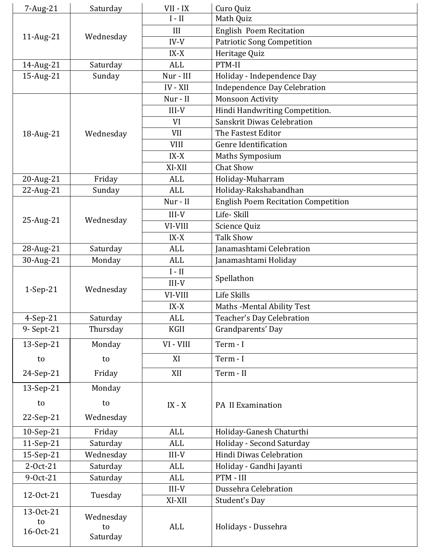| 7-Aug-21                     | Saturday                    | VII - IX                     | Curo Quiz                                  |
|------------------------------|-----------------------------|------------------------------|--------------------------------------------|
|                              |                             | $I - II$                     | Math Quiz                                  |
| 11-Aug-21                    |                             | III                          | English Poem Recitation                    |
|                              | Wednesday                   | $IV-V$                       | <b>Patriotic Song Competition</b>          |
|                              |                             | $IX-X$                       | Heritage Quiz                              |
| 14-Aug-21                    | Saturday                    | <b>ALL</b>                   | PTM-II                                     |
| 15-Aug-21                    | Sunday                      | Nur - III                    | Holiday - Independence Day                 |
|                              |                             | IV - XII                     | Independence Day Celebration               |
|                              |                             | Nur - II                     | <b>Monsoon Activity</b>                    |
|                              | Wednesday                   | $III-V$                      | Hindi Handwriting Competition.             |
|                              |                             | VI                           | Sanskrit Diwas Celebration                 |
| 18-Aug-21                    |                             | <b>VII</b>                   | The Fastest Editor                         |
|                              |                             | <b>VIII</b>                  | <b>Genre Identification</b>                |
|                              |                             | $IX-X$                       | <b>Maths Symposium</b>                     |
|                              |                             | XI-XII                       | <b>Chat Show</b>                           |
| 20-Aug-21                    | Friday                      | <b>ALL</b>                   | Holiday-Muharram                           |
| 22-Aug-21                    | Sunday                      | <b>ALL</b>                   | Holiday-Rakshabandhan                      |
|                              |                             | Nur - II                     | <b>English Poem Recitation Competition</b> |
|                              | Wednesday                   | $III-V$                      | Life-Skill                                 |
| 25-Aug-21                    |                             | VI-VIII                      | Science Quiz                               |
|                              |                             | $IX-X$                       | <b>Talk Show</b>                           |
| 28-Aug-21                    | Saturday                    | <b>ALL</b>                   | Janamashtami Celebration                   |
| 30-Aug-21                    | Monday                      | <b>ALL</b>                   | Janamashtami Holiday                       |
|                              |                             | $\mathbf{I}$ - $\mathbf{II}$ |                                            |
|                              | Wednesday                   | $III-V$                      | Spellathon                                 |
| $1-Sep-21$                   |                             | VI-VIII                      | Life Skills                                |
|                              |                             | $IX-X$                       | Maths - Mental Ability Test                |
| 4-Sep-21                     | Saturday                    | <b>ALL</b>                   | Teacher's Day Celebration                  |
| 9- Sept-21                   | Thursday                    | <b>KGII</b>                  | Grandparents' Day                          |
| 13-Sep-21                    | Monday                      | VI - VIII                    | Term - I                                   |
| to                           | to                          | XI                           | Term - I                                   |
| 24-Sep-21                    | Friday                      | XII                          | Term - II                                  |
| 13-Sep-21                    | Monday                      |                              |                                            |
| to                           | to                          | $IX - X$                     | PA II Examination                          |
| 22-Sep-21                    | Wednesday                   |                              |                                            |
| 10-Sep-21                    | Friday                      | <b>ALL</b>                   | Holiday-Ganesh Chaturthi                   |
| 11-Sep-21                    | Saturday                    | <b>ALL</b>                   | Holiday - Second Saturday                  |
| 15-Sep-21                    | Wednesday                   | $III-V$                      | Hindi Diwas Celebration                    |
| 2-Oct-21                     | Saturday                    | <b>ALL</b>                   | Holiday - Gandhi Jayanti                   |
| 9-Oct-21                     | Saturday                    | <b>ALL</b>                   | PTM - III                                  |
|                              | Tuesday                     | $III-V$                      | Dussehra Celebration                       |
| 12-Oct-21                    |                             | XI-XII                       | <b>Student's Day</b>                       |
| 13-Oct-21<br>to<br>16-Oct-21 | Wednesday<br>to<br>Saturday | <b>ALL</b>                   | Holidays - Dussehra                        |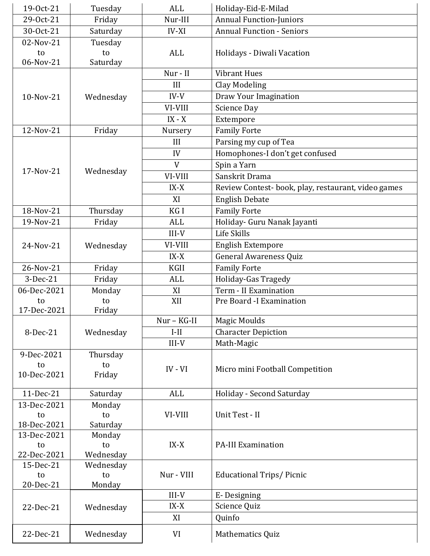| 19-0ct-21   | Tuesday   | <b>ALL</b>  | Holiday-Eid-E-Milad                                |
|-------------|-----------|-------------|----------------------------------------------------|
| 29-Oct-21   | Friday    | Nur-III     | Annual Function-Juniors                            |
| 30-Oct-21   | Saturday  | IV-XI       | <b>Annual Function - Seniors</b>                   |
| 02-Nov-21   | Tuesday   |             |                                                    |
| to          | to        | ALL         | Holidays - Diwali Vacation                         |
| 06-Nov-21   | Saturday  |             |                                                    |
|             | Wednesday | Nur - II    | <b>Vibrant Hues</b>                                |
|             |           | III         | <b>Clay Modeling</b>                               |
| 10-Nov-21   |           | $IV-V$      | Draw Your Imagination                              |
|             |           | VI-VIII     | Science Day                                        |
|             |           | $IX - X$    | Extempore                                          |
| 12-Nov-21   | Friday    | Nursery     | <b>Family Forte</b>                                |
|             |           | III         | Parsing my cup of Tea                              |
|             |           | IV          | Homophones-I don't get confused                    |
|             |           | V           | Spin a Yarn                                        |
| 17-Nov-21   | Wednesday | VI-VIII     | Sanskrit Drama                                     |
|             |           | $IX-X$      |                                                    |
|             |           |             | Review Contest-book, play, restaurant, video games |
|             |           | XI          | <b>English Debate</b>                              |
| 18-Nov-21   | Thursday  | KG I        | <b>Family Forte</b>                                |
| 19-Nov-21   | Friday    | <b>ALL</b>  | Holiday- Guru Nanak Jayanti                        |
|             |           | $III-V$     | Life Skills                                        |
| 24-Nov-21   | Wednesday | VI-VIII     | <b>English Extempore</b>                           |
|             |           | $IX-X$      | <b>General Awareness Quiz</b>                      |
| 26-Nov-21   | Friday    | <b>KGII</b> | <b>Family Forte</b>                                |
| 3-Dec-21    | Friday    | <b>ALL</b>  | Holiday-Gas Tragedy                                |
| 06-Dec-2021 | Monday    | XI          | Term - II Examination                              |
| to          | to        | XII         | Pre Board -I Examination                           |
| 17-Dec-2021 | Friday    |             |                                                    |
|             | Wednesday | Nur - KG-II | <b>Magic Moulds</b>                                |
| 8-Dec-21    |           | $I-II$      | <b>Character Depiction</b>                         |
|             |           | $III-V$     | Math-Magic                                         |
| 9-Dec-2021  | Thursday  |             |                                                    |
| to          | to        | $IV - VI$   | Micro mini Football Competition                    |
| 10-Dec-2021 | Friday    |             |                                                    |
| 11-Dec-21   | Saturday  | <b>ALL</b>  | Holiday - Second Saturday                          |
| 13-Dec-2021 | Monday    |             |                                                    |
| to          | to        | VI-VIII     | Unit Test - II                                     |
| 18-Dec-2021 | Saturday  |             |                                                    |
| 13-Dec-2021 | Monday    |             |                                                    |
| to          | to        | $IX-X$      | <b>PA-III Examination</b>                          |
| 22-Dec-2021 | Wednesday |             |                                                    |
| 15-Dec-21   | Wednesday |             |                                                    |
| to          | to        | Nur - VIII  | <b>Educational Trips/Picnic</b>                    |
| 20-Dec-21   | Monday    |             |                                                    |
| 22-Dec-21   | Wednesday | $III-V$     | E-Designing                                        |
|             |           | $IX-X$      | Science Quiz                                       |
|             |           | XI          | Quinfo                                             |
| 22-Dec-21   | Wednesday | VI          | Mathematics Quiz                                   |